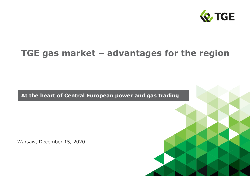

## **TGE gas market – advantages for the region**

**At the heart of Central European power and gas trading**

Warsaw, December 15, 2020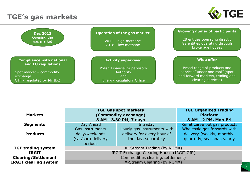### **TGE's gas markets**





| <b>Markets</b>               | <b>TGE Gas spot markets</b><br>(Commodity exchange)<br>8 AM - 3.30 PM, 7 days |                                                                                  | <b>TGE Organized Trading</b><br><b>Platform</b><br>8 AM - 2 PM, Mon-Fri                  |
|------------------------------|-------------------------------------------------------------------------------|----------------------------------------------------------------------------------|------------------------------------------------------------------------------------------|
| <b>Segments</b>              | Day Ahead                                                                     | Intraday                                                                         | Remit carve out gas products                                                             |
| <b>Products</b>              | Gas instruments<br>daily/weekends<br>(sat/sun) delivery<br>periods            | Hourly gas instruments with<br>delivery for every hour of<br>the day, separately | Wholesale gas forwards with<br>delivery (weekly, monthly,<br>quarterly, seasonal, yearly |
| <b>TGE trading system</b>    | X- Stream Trading (by NOMX)                                                   |                                                                                  |                                                                                          |
| <b>IRGIT</b>                 | IRGIT Exchange Clearing House (IRGIT GIR)                                     |                                                                                  |                                                                                          |
| <b>Clearing/Settlement</b>   | Commodities clearing/settlement)                                              |                                                                                  |                                                                                          |
| <b>IRGIT clearing system</b> | X-Stream Clearing (by NOMX)                                                   |                                                                                  |                                                                                          |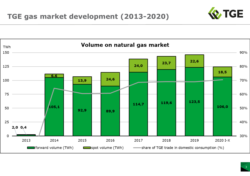

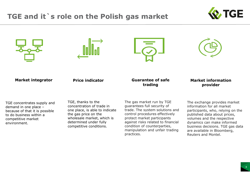### **TGE and it`s role on the Polish gas market**











#### **Market integrator**

### **Price indicator**

### **Guarantee of safe trading**

#### **Market information provider**

TGE concentrates supply and demand in one place – because of that it is possible to do business within a competitive market environment.

TGE, thanks to the concentration of trade in one place, is able to indicate the gas price on the wholesale market, which is determined under fully competitive conditions.

The gas market run by TGE guarantees full security of trade. The system solutions and control procedures effectively protect market participants against risks related to financial condition of counterparties, manipulation and unfair trading practices.

The exchange provides market information for all market participants, who, relying on the published data about prices, volumes and the respective dynamics can make informed business decisions. TGE gas data are available in Bloomberg, Reuters and Montel.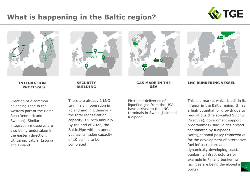### **What is happening in the Baltic region?**











#### **INTEGRATION PROCESSES**

Creation of a common balancing zone in the western part of the Baltic Sea (Denmark and Sweden). Similar integration measures are also being undertaken in the eastern direction: Lithuania, Latvia, Estonia and Finland

#### **SECURITY BUILDING**

There are already 2 LNG terminals in operation in Poland and in Lithuania – the total regasification capacity is 9 bcm annually. By the end of 2022, the Baltic Pipe with an annual gas transmission capacity of 10 bcm is to be

completed



First spot deliveries of liquefied gas from the USA have arrived to the LNG terminals in Świnoujście and Klaipeda

#### **LNG BUNKERING VESSEL**

5 This is a market which is still in its infancy in the Baltic region. It has a high potential for growth due to regulations (the so-called Sulphur Directive), government support programmes (Blue Baltics project coordinated by Klaipedos Nafta),national policy frameworks for the development of alternative fuel infrastructure and dynamically developing coastal bunkering infrastructure (for example in Finland bunkering facilities are being developed in ports)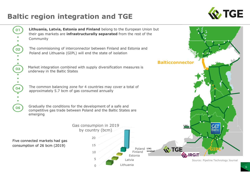### **Baltic region integration and TGE**

01

02

03

04

05



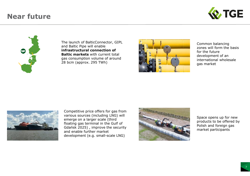### **Near future**





The launch of BalticConnector, GIPL and Baltic Pipe will enable **infrastructural connection of Baltic markets** with current total gas consumption volume of around 28 bcm (approx. 295 TWh)



Common balancing zones will form the basis for the future development of an international wholesale gas market



Competitive price offers for gas from various sources (including LNG) will emerge on a larger scale (third floating gas terminal in the Gulf of Gdańsk 2025) , improve the security and enable further market development (e.g. small-scale LNG)



Space opens up for new products to be offered by Polish and foreign gas market participants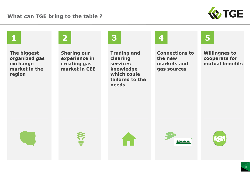